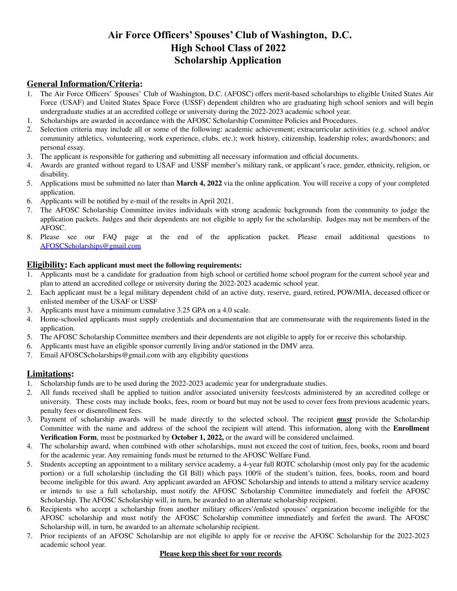# **Air Force Officers' Spouses' Club of Washington, D.C. High School Class of 2022 Scholarship Application**

# **General Information/Criteria:**

- 1. The Air Force Officers' Spouses' Club of Washington, D.C. (AFOSC) offers merit-based scholarships to eligible United States Air Force (USAF) and United States Space Force (USSF) dependent children who are graduating high school seniors and will begin undergraduate studies at an accredited college or university during the 2022-2023 academic school year.
- 1. Scholarships are awarded in accordance with the AFOSC Scholarship Committee Policies and Procedures.
- 2. Selection criteria may include all or some of the following: academic achievement; extracurricular activities (e.g. school and/or community athletics, volunteering, work experience, clubs, etc.); work history, citizenship, leadership roles; awards/honors; and personal essay.
- 3. The applicant is responsible for gathering and submitting all necessary information and official documents.
- 4. Awards are granted without regard to USAF and USSF member's military rank, or applicant's race, gender, ethnicity, religion, or disability.
- 5. Applications must be submitted no later than **March 4, 2022** via the online application. You will receive a copy of your completed application.
- 6. Applicants will be notified by e-mail of the results in April 2021.
- 7. The AFOSC Scholarship Committee invites individuals with strong academic backgrounds from the community to judge the application packets. Judges and their dependents are not eligible to apply for the scholarship. Judges may not be members of the AFOSC.
- 8. Please see our FAQ page at the end of the application packet. Please email additional questions to [AFOSCScholarships@gmail.com](mailto:AFOSCScholarships@gmail.com)

## **Eligibility: Each applicant must meet the following requirements:**

- 1. Applicants must be a candidate for graduation from high school or certified home school program for the current school year and plan to attend an accredited college or university during the 2022-2023 academic school year.
- 2. Each applicant must be a legal military dependent child of an active duty, reserve, guard, retired, POW/MIA, deceased officer or enlisted member of the USAF or USSF
- 3. Applicants must have a minimum cumulative 3.25 GPA on a 4.0 scale.
- 4. Home-schooled applicants must supply credentials and documentation that are commensurate with the requirements listed in the application.
- 5. The AFOSC Scholarship Committee members and their dependents are not eligible to apply for or receive this scholarship.
- 6. Applicants must have an eligible sponsor currently living and/or stationed in the DMV area.
- 7. Email AFOSCScholarships@gmail.com with any eligibility questions

# **Limitations:**

- 1. Scholarship funds are to be used during the 2022-2023 academic year for undergraduate studies.
- 2. All funds received shall be applied to tuition and/or associated university fees/costs administered by an accredited college or university. These costs may include books, fees, room or board but may not be used to cover fees from previous academic years, penalty fees or disenrollment fees.
- 3. Payment of scholarship awards will be made directly to the selected school. The recipient *must* provide the Scholarship Committee with the name and address of the school the recipient will attend. This information, along with the **Enrollment Verification Form**, must be postmarked by **October 1, 2022,** or the award will be considered unclaimed.
- 4. The scholarship award, when combined with other scholarships, must not exceed the cost of tuition, fees, books, room and board for the academic year. Any remaining funds must be returned to the AFOSC Welfare Fund.
- 5. Students accepting an appointment to a military service academy, a 4-year full ROTC scholarship (most only pay for the academic portion) or a full scholarship (including the GI Bill) which pays 100% of the student's tuition, fees, books, room and board become ineligible for this award. Any applicant awarded an AFOSC Scholarship and intends to attend a military service academy or intends to use a full scholarship, must notify the AFOSC Scholarship Committee immediately and forfeit the AFOSC Scholarship. The AFOSC Scholarship will, in turn, be awarded to an alternate scholarship recipient.
- 6. Recipients who accept a scholarship from another military officers'/enlisted spouses' organization become ineligible for the AFOSC scholarship and must notify the AFOSC Scholarship committee immediately and forfeit the award. The AFOSC Scholarship will, in turn, be awarded to an alternate scholarship recipient.
- 7. Prior recipients of an AFOSC Scholarship are not eligible to apply for or receive the AFOSC Scholarship for the 2022-2023 academic school year.

#### **Please keep this sheet for your records***.*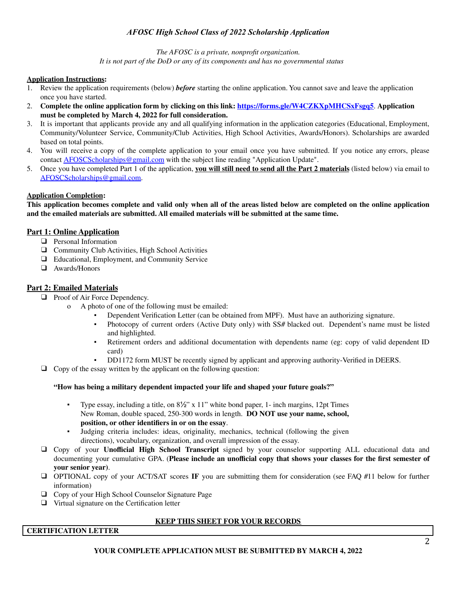# *AFOSC High School Class of 2022 Scholarship Application*

*The AFOSC is a private, nonprofit organization. It is not part of the DoD or any of its components and has no governmental status*

#### **Application Instructions:**

- 1. Review the application requirements (below) *before* starting the online application. You cannot save and leave the application once you have started.
- 2. **Complete the online application form by clicking on this link: <https://forms.gle/W4CZKXpMHCSxFsgq5>**. **Application must be completed by March 4, 2022 for full consideration.**
- 3. It is important that applicants provide any and all qualifying information in the application categories (Educational, Employment, Community/Volunteer Service, Community/Club Activities, High School Activities, Awards/Honors). Scholarships are awarded based on total points.
- 4. You will receive a copy of the complete application to your email once you have submitted. If you notice any errors, please contact [AFOSCScholarships@gmail.com](mailto:AFOSCScholarships@gmail.com) with the subject line reading "Application Update".
- 5. Once you have completed Part 1 of the application, **you will still need to send all the Part 2 materials** (listed below) via email to [AFOSCScholarships@gmail.com.](mailto:AFOSCScholarships@gmail.com)

#### **Application Completion:**

This application becomes complete and valid only when all of the areas listed below are completed on the online application **and the emailed materials are submitted. All emailed materials will be submitted at the same time.**

## **Part 1: Online Application**

- ❑ Personal Information
- ❑ Community Club Activities, High School Activities
- ❑ Educational, Employment, and Community Service
- ❑ Awards/Honors

## **Part 2: Emailed Materials**

- ❑ Proof of Air Force Dependency.
	- o A photo of one of the following must be emailed:
		- Dependent Verification Letter (can be obtained from MPF). Must have an authorizing signature.<br>• Photocopy of current orders (Active Duty only) with SS# blacked out. Dependent's name mu
		- Photocopy of current orders (Active Duty only) with SS# blacked out. Dependent's name must be listed and highlighted.
		- Retirement orders and additional documentation with dependents name (eg: copy of valid dependent ID card)
		- DD1172 form MUST be recently signed by applicant and approving authority-Verified in DEERS.
- ❑ Copy of the essay written by the applicant on the following question:

#### **"How has being a military dependent impacted your life and shaped your future goals?"**

- Type essay, including a title, on  $8\frac{1}{2}$ " x 11" white bond paper, 1- inch margins, 12pt Times New Roman, double spaced, 250-300 words in length. **DO NOT use your name, school, position, or other identifiers in or on the essay**.
- Judging criteria includes: ideas, originality, mechanics, technical (following the given directions), vocabulary, organization, and overall impression of the essay.
- ❑ Copy of your **Unofficial High School Transcript** signed by your counselor supporting ALL educational data and documenting your cumulative GPA. (**Please include an unofficial copy that shows your classes for the first semester of your senior year)**.
- ❑ OPTIONAL copy of your ACT/SAT scores **IF** you are submitting them for consideration (see FAQ #11 below for further information)
- ❑ Copy of your High School Counselor Signature Page
- ❑ Virtual signature on the Certification letter

## **KEEP THIS SHEET FOR YOUR RECORDS**

## **CERTIFICATION LETTER**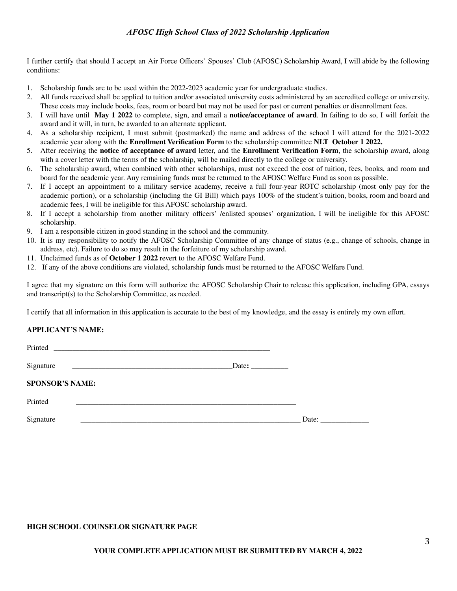## *AFOSC High School Class of 2022 Scholarship Application*

I further certify that should I accept an Air Force Officers' Spouses' Club (AFOSC) Scholarship Award, I will abide by the following conditions:

- 1. Scholarship funds are to be used within the 2022-2023 academic year for undergraduate studies.
- 2. All funds received shall be applied to tuition and/or associated university costs administered by an accredited college or university. These costs may include books, fees, room or board but may not be used for past or current penalties or disenrollment fees.
- 3. I will have until **May 1 2022** to complete, sign, and email a **notice/acceptance of award**. In failing to do so, I will forfeit the award and it will, in turn, be awarded to an alternate applicant.
- 4. As a scholarship recipient, I must submit (postmarked) the name and address of the school I will attend for the 2021-2022 academic year along with the **Enrollment Verification Form** to the scholarship committee **NLT October 1 2022.**
- 5. After receiving the **notice of acceptance of award** letter, and the **Enrollment Verification Form**, the scholarship award, along with a cover letter with the terms of the scholarship, will be mailed directly to the college or university.
- 6. The scholarship award, when combined with other scholarships, must not exceed the cost of tuition, fees, books, and room and board for the academic year. Any remaining funds must be returned to the AFOSC Welfare Fund as soon as possible.
- 7. If I accept an appointment to a military service academy, receive a full four-year ROTC scholarship (most only pay for the academic portion), or a scholarship (including the GI Bill) which pays 100% of the student's tuition, books, room and board and academic fees, I will be ineligible for this AFOSC scholarship award.
- 8. If I accept a scholarship from another military officers' /enlisted spouses' organization, I will be ineligible for this AFOSC scholarship.
- 9. I am a responsible citizen in good standing in the school and the community.
- 10. It is my responsibility to notify the AFOSC Scholarship Committee of any change of status (e.g., change of schools, change in address, etc). Failure to do so may result in the forfeiture of my scholarship award.
- 11. Unclaimed funds as of **October 1 2022** revert to the AFOSC Welfare Fund.
- 12. If any of the above conditions are violated, scholarship funds must be returned to the AFOSC Welfare Fund.

I agree that my signature on this form will authorize the AFOSC Scholarship Chair to release this application, including GPA, essays and transcript(s) to the Scholarship Committee, as needed.

I certify that all information in this application is accurate to the best of my knowledge, and the essay is entirely my own effort.

#### **APPLICANT'S NAME:**

Signature **\_\_\_\_\_\_\_\_\_\_\_\_\_\_\_\_\_\_\_\_\_\_\_\_\_\_\_\_\_\_\_\_\_\_\_\_\_\_\_\_\_\_\_**Date**: \_\_\_\_\_\_\_\_\_\_**

Printed **\_\_\_\_\_\_\_\_\_\_\_\_\_\_\_\_\_\_\_\_\_\_\_\_\_\_\_\_\_\_\_\_\_\_\_\_\_\_\_\_\_\_\_\_\_\_\_\_\_\_\_\_\_\_\_\_\_\_**

**SPONSOR'S NAME:**

Printed **\_\_\_\_\_\_\_\_\_\_\_\_\_\_\_\_\_\_\_\_\_\_\_\_\_\_\_\_\_\_\_\_\_\_\_\_\_\_\_\_\_\_\_\_\_\_\_\_\_\_\_\_\_\_\_\_\_\_\_**

Signature **Date:**  $\Box$ 

#### **HIGH SCHOOL COUNSELOR SIGNATURE PAGE**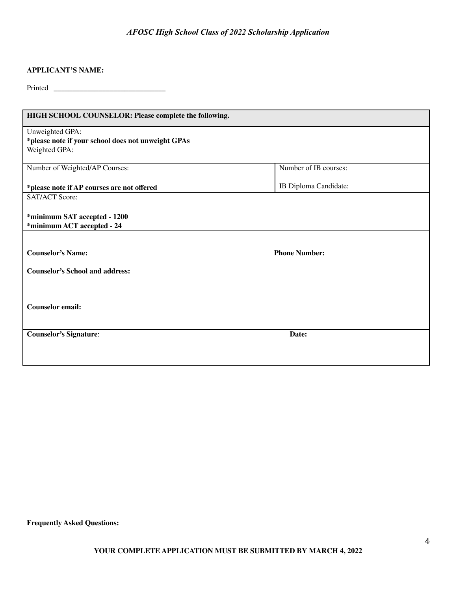# *AFOSC High School Class of 2022 Scholarship Application*

## **APPLICANT'S NAME:**

Printed **\_\_\_\_\_\_\_\_\_\_\_\_\_\_\_\_\_\_\_\_\_\_\_\_\_\_\_\_\_\_**

| HIGH SCHOOL COUNSELOR: Please complete the following.                                  |                       |
|----------------------------------------------------------------------------------------|-----------------------|
| Unweighted GPA:<br>*please note if your school does not unweight GPAs<br>Weighted GPA: |                       |
| Number of Weighted/AP Courses:                                                         | Number of IB courses: |
| *please note if AP courses are not offered                                             | IB Diploma Candidate: |
| <b>SAT/ACT Score:</b>                                                                  |                       |
| *minimum SAT accepted - 1200<br>*minimum ACT accepted - 24                             |                       |
|                                                                                        |                       |
| <b>Counselor's Name:</b>                                                               | <b>Phone Number:</b>  |
| <b>Counselor's School and address:</b>                                                 |                       |
|                                                                                        |                       |
| <b>Counselor email:</b>                                                                |                       |
| <b>Counselor's Signature:</b>                                                          | Date:                 |
|                                                                                        |                       |

**Frequently Asked Questions:**